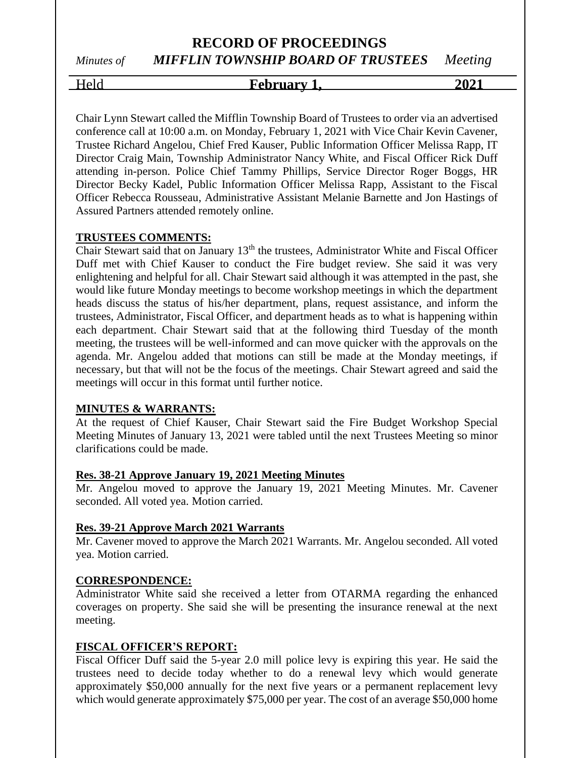Held **February 1, 2021**

Chair Lynn Stewart called the Mifflin Township Board of Trustees to order via an advertised conference call at 10:00 a.m. on Monday, February 1, 2021 with Vice Chair Kevin Cavener, Trustee Richard Angelou, Chief Fred Kauser, Public Information Officer Melissa Rapp, IT Director Craig Main, Township Administrator Nancy White, and Fiscal Officer Rick Duff attending in-person. Police Chief Tammy Phillips, Service Director Roger Boggs, HR Director Becky Kadel, Public Information Officer Melissa Rapp, Assistant to the Fiscal Officer Rebecca Rousseau, Administrative Assistant Melanie Barnette and Jon Hastings of Assured Partners attended remotely online.

#### **TRUSTEES COMMENTS:**

Chair Stewart said that on January 13<sup>th</sup> the trustees, Administrator White and Fiscal Officer Duff met with Chief Kauser to conduct the Fire budget review. She said it was very enlightening and helpful for all. Chair Stewart said although it was attempted in the past, she would like future Monday meetings to become workshop meetings in which the department heads discuss the status of his/her department, plans, request assistance, and inform the trustees, Administrator, Fiscal Officer, and department heads as to what is happening within each department. Chair Stewart said that at the following third Tuesday of the month meeting, the trustees will be well-informed and can move quicker with the approvals on the agenda. Mr. Angelou added that motions can still be made at the Monday meetings, if necessary, but that will not be the focus of the meetings. Chair Stewart agreed and said the meetings will occur in this format until further notice.

#### **MINUTES & WARRANTS:**

At the request of Chief Kauser, Chair Stewart said the Fire Budget Workshop Special Meeting Minutes of January 13, 2021 were tabled until the next Trustees Meeting so minor clarifications could be made.

#### **Res. 38-21 Approve January 19, 2021 Meeting Minutes**

Mr. Angelou moved to approve the January 19, 2021 Meeting Minutes. Mr. Cavener seconded. All voted yea. Motion carried.

## **Res. 39-21 Approve March 2021 Warrants**

Mr. Cavener moved to approve the March 2021 Warrants. Mr. Angelou seconded. All voted yea. Motion carried.

## **CORRESPONDENCE:**

Administrator White said she received a letter from OTARMA regarding the enhanced coverages on property. She said she will be presenting the insurance renewal at the next meeting.

## **FISCAL OFFICER'S REPORT:**

Fiscal Officer Duff said the 5-year 2.0 mill police levy is expiring this year. He said the trustees need to decide today whether to do a renewal levy which would generate approximately \$50,000 annually for the next five years or a permanent replacement levy which would generate approximately \$75,000 per year. The cost of an average \$50,000 home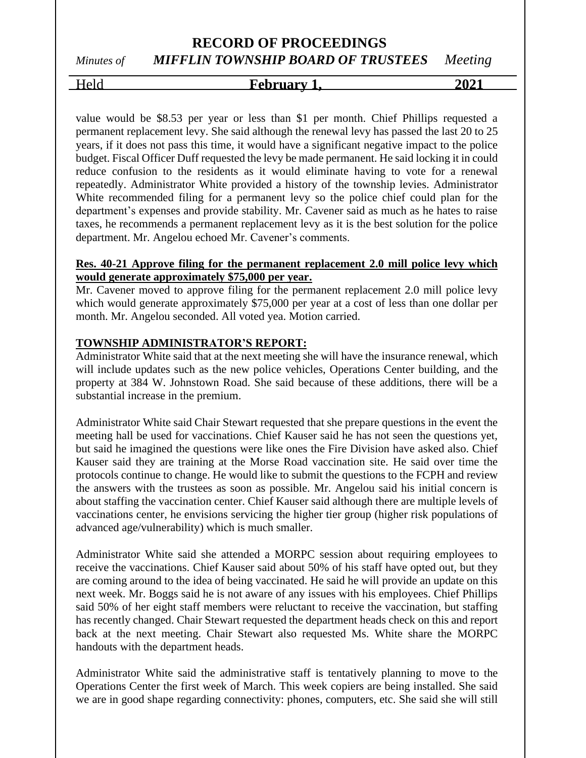# Held **February 1, 2021**

value would be \$8.53 per year or less than \$1 per month. Chief Phillips requested a permanent replacement levy. She said although the renewal levy has passed the last 20 to 25 years, if it does not pass this time, it would have a significant negative impact to the police budget. Fiscal Officer Duff requested the levy be made permanent. He said locking it in could reduce confusion to the residents as it would eliminate having to vote for a renewal repeatedly. Administrator White provided a history of the township levies. Administrator White recommended filing for a permanent levy so the police chief could plan for the department's expenses and provide stability. Mr. Cavener said as much as he hates to raise taxes, he recommends a permanent replacement levy as it is the best solution for the police department. Mr. Angelou echoed Mr. Cavener's comments.

#### **Res. 40-21 Approve filing for the permanent replacement 2.0 mill police levy which would generate approximately \$75,000 per year.**

Mr. Cavener moved to approve filing for the permanent replacement 2.0 mill police levy which would generate approximately \$75,000 per year at a cost of less than one dollar per month. Mr. Angelou seconded. All voted yea. Motion carried.

## **TOWNSHIP ADMINISTRATOR'S REPORT:**

Administrator White said that at the next meeting she will have the insurance renewal, which will include updates such as the new police vehicles, Operations Center building, and the property at 384 W. Johnstown Road. She said because of these additions, there will be a substantial increase in the premium.

Administrator White said Chair Stewart requested that she prepare questions in the event the meeting hall be used for vaccinations. Chief Kauser said he has not seen the questions yet, but said he imagined the questions were like ones the Fire Division have asked also. Chief Kauser said they are training at the Morse Road vaccination site. He said over time the protocols continue to change. He would like to submit the questions to the FCPH and review the answers with the trustees as soon as possible. Mr. Angelou said his initial concern is about staffing the vaccination center. Chief Kauser said although there are multiple levels of vaccinations center, he envisions servicing the higher tier group (higher risk populations of advanced age/vulnerability) which is much smaller.

Administrator White said she attended a MORPC session about requiring employees to receive the vaccinations. Chief Kauser said about 50% of his staff have opted out, but they are coming around to the idea of being vaccinated. He said he will provide an update on this next week. Mr. Boggs said he is not aware of any issues with his employees. Chief Phillips said 50% of her eight staff members were reluctant to receive the vaccination, but staffing has recently changed. Chair Stewart requested the department heads check on this and report back at the next meeting. Chair Stewart also requested Ms. White share the MORPC handouts with the department heads.

Administrator White said the administrative staff is tentatively planning to move to the Operations Center the first week of March. This week copiers are being installed. She said we are in good shape regarding connectivity: phones, computers, etc. She said she will still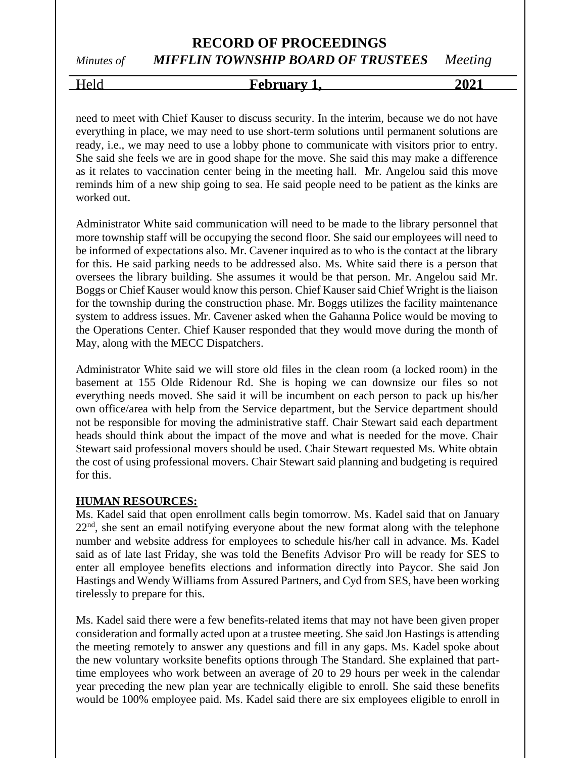Held **February 1, 2021**

need to meet with Chief Kauser to discuss security. In the interim, because we do not have everything in place, we may need to use short-term solutions until permanent solutions are ready, i.e., we may need to use a lobby phone to communicate with visitors prior to entry. She said she feels we are in good shape for the move. She said this may make a difference as it relates to vaccination center being in the meeting hall. Mr. Angelou said this move reminds him of a new ship going to sea. He said people need to be patient as the kinks are worked out.

Administrator White said communication will need to be made to the library personnel that more township staff will be occupying the second floor. She said our employees will need to be informed of expectations also. Mr. Cavener inquired as to who is the contact at the library for this. He said parking needs to be addressed also. Ms. White said there is a person that oversees the library building. She assumes it would be that person. Mr. Angelou said Mr. Boggs or Chief Kauser would know this person. Chief Kauser said Chief Wright is the liaison for the township during the construction phase. Mr. Boggs utilizes the facility maintenance system to address issues. Mr. Cavener asked when the Gahanna Police would be moving to the Operations Center. Chief Kauser responded that they would move during the month of May, along with the MECC Dispatchers.

Administrator White said we will store old files in the clean room (a locked room) in the basement at 155 Olde Ridenour Rd. She is hoping we can downsize our files so not everything needs moved. She said it will be incumbent on each person to pack up his/her own office/area with help from the Service department, but the Service department should not be responsible for moving the administrative staff. Chair Stewart said each department heads should think about the impact of the move and what is needed for the move. Chair Stewart said professional movers should be used. Chair Stewart requested Ms. White obtain the cost of using professional movers. Chair Stewart said planning and budgeting is required for this.

#### **HUMAN RESOURCES:**

Ms. Kadel said that open enrollment calls begin tomorrow. Ms. Kadel said that on January  $22<sup>nd</sup>$ , she sent an email notifying everyone about the new format along with the telephone number and website address for employees to schedule his/her call in advance. Ms. Kadel said as of late last Friday, she was told the Benefits Advisor Pro will be ready for SES to enter all employee benefits elections and information directly into Paycor. She said Jon Hastings and Wendy Williams from Assured Partners, and Cyd from SES, have been working tirelessly to prepare for this.

Ms. Kadel said there were a few benefits-related items that may not have been given proper consideration and formally acted upon at a trustee meeting. She said Jon Hastings is attending the meeting remotely to answer any questions and fill in any gaps. Ms. Kadel spoke about the new voluntary worksite benefits options through The Standard. She explained that parttime employees who work between an average of 20 to 29 hours per week in the calendar year preceding the new plan year are technically eligible to enroll. She said these benefits would be 100% employee paid. Ms. Kadel said there are six employees eligible to enroll in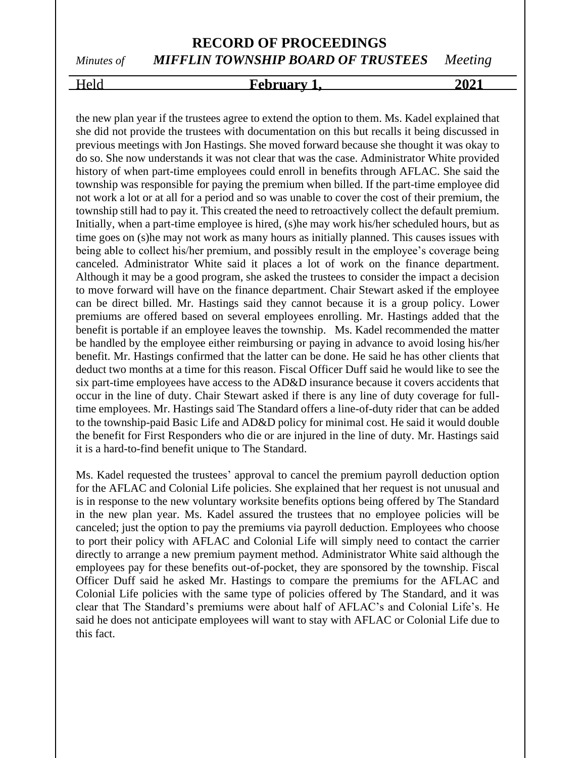## Held **February 1, 2021**

the new plan year if the trustees agree to extend the option to them. Ms. Kadel explained that she did not provide the trustees with documentation on this but recalls it being discussed in previous meetings with Jon Hastings. She moved forward because she thought it was okay to do so. She now understands it was not clear that was the case. Administrator White provided history of when part-time employees could enroll in benefits through AFLAC. She said the township was responsible for paying the premium when billed. If the part-time employee did not work a lot or at all for a period and so was unable to cover the cost of their premium, the township still had to pay it. This created the need to retroactively collect the default premium. Initially, when a part-time employee is hired, (s)he may work his/her scheduled hours, but as time goes on (s)he may not work as many hours as initially planned. This causes issues with being able to collect his/her premium, and possibly result in the employee's coverage being canceled. Administrator White said it places a lot of work on the finance department. Although it may be a good program, she asked the trustees to consider the impact a decision to move forward will have on the finance department. Chair Stewart asked if the employee can be direct billed. Mr. Hastings said they cannot because it is a group policy. Lower premiums are offered based on several employees enrolling. Mr. Hastings added that the benefit is portable if an employee leaves the township. Ms. Kadel recommended the matter be handled by the employee either reimbursing or paying in advance to avoid losing his/her benefit. Mr. Hastings confirmed that the latter can be done. He said he has other clients that deduct two months at a time for this reason. Fiscal Officer Duff said he would like to see the six part-time employees have access to the AD&D insurance because it covers accidents that occur in the line of duty. Chair Stewart asked if there is any line of duty coverage for fulltime employees. Mr. Hastings said The Standard offers a line-of-duty rider that can be added to the township-paid Basic Life and AD&D policy for minimal cost. He said it would double the benefit for First Responders who die or are injured in the line of duty. Mr. Hastings said it is a hard-to-find benefit unique to The Standard.

Ms. Kadel requested the trustees' approval to cancel the premium payroll deduction option for the AFLAC and Colonial Life policies. She explained that her request is not unusual and is in response to the new voluntary worksite benefits options being offered by The Standard in the new plan year. Ms. Kadel assured the trustees that no employee policies will be canceled; just the option to pay the premiums via payroll deduction. Employees who choose to port their policy with AFLAC and Colonial Life will simply need to contact the carrier directly to arrange a new premium payment method. Administrator White said although the employees pay for these benefits out-of-pocket, they are sponsored by the township. Fiscal Officer Duff said he asked Mr. Hastings to compare the premiums for the AFLAC and Colonial Life policies with the same type of policies offered by The Standard, and it was clear that The Standard's premiums were about half of AFLAC's and Colonial Life's. He said he does not anticipate employees will want to stay with AFLAC or Colonial Life due to this fact.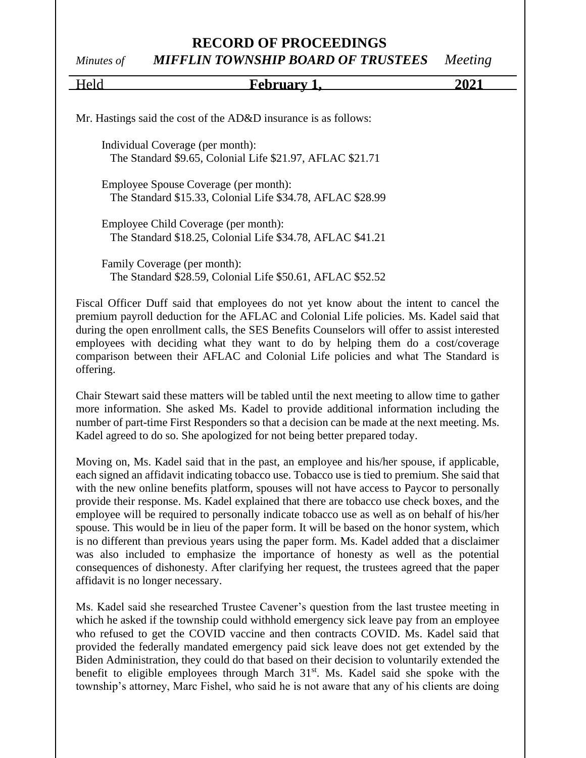## **RECORD OF PROCEEDINGS**

## *Minutes of MIFFLIN TOWNSHIP BOARD OF TRUSTEES Meeting*

| Held                                  | February 1                                                                                                                                                                                                                                                                                                                                                                                                                                                  | 2021 |
|---------------------------------------|-------------------------------------------------------------------------------------------------------------------------------------------------------------------------------------------------------------------------------------------------------------------------------------------------------------------------------------------------------------------------------------------------------------------------------------------------------------|------|
|                                       | Mr. Hastings said the cost of the AD&D insurance is as follows:                                                                                                                                                                                                                                                                                                                                                                                             |      |
| Individual Coverage (per month):      | The Standard \$9.65, Colonial Life \$21.97, AFLAC \$21.71                                                                                                                                                                                                                                                                                                                                                                                                   |      |
| Employee Spouse Coverage (per month): | The Standard \$15.33, Colonial Life \$34.78, AFLAC \$28.99                                                                                                                                                                                                                                                                                                                                                                                                  |      |
| Employee Child Coverage (per month):  | The Standard \$18.25, Colonial Life \$34.78, AFLAC \$41.21                                                                                                                                                                                                                                                                                                                                                                                                  |      |
| Family Coverage (per month):          | The Standard \$28.59, Colonial Life \$50.61, AFLAC \$52.52                                                                                                                                                                                                                                                                                                                                                                                                  |      |
| offering.                             | Fiscal Officer Duff said that employees do not yet know about the intent to cancel the<br>premium payroll deduction for the AFLAC and Colonial Life policies. Ms. Kadel said that<br>during the open enrollment calls, the SES Benefits Counselors will offer to assist interested<br>employees with deciding what they want to do by helping them do a cost/coverage<br>comparison between their AFLAC and Colonial Life policies and what The Standard is |      |
|                                       | Chair Stewart said these matters will be tabled until the next meeting to allow time to gather<br>more information. She asked Ms. Kadel to provide additional information including the<br>number of part-time First Responders so that a decision can be made at the next meeting. Ms.                                                                                                                                                                     |      |

Moving on, Ms. Kadel said that in the past, an employee and his/her spouse, if applicable, each signed an affidavit indicating tobacco use. Tobacco use is tied to premium. She said that with the new online benefits platform, spouses will not have access to Paycor to personally provide their response. Ms. Kadel explained that there are tobacco use check boxes, and the employee will be required to personally indicate tobacco use as well as on behalf of his/her spouse. This would be in lieu of the paper form. It will be based on the honor system, which is no different than previous years using the paper form. Ms. Kadel added that a disclaimer was also included to emphasize the importance of honesty as well as the potential consequences of dishonesty. After clarifying her request, the trustees agreed that the paper affidavit is no longer necessary.

Kadel agreed to do so. She apologized for not being better prepared today.

Ms. Kadel said she researched Trustee Cavener's question from the last trustee meeting in which he asked if the township could withhold emergency sick leave pay from an employee who refused to get the COVID vaccine and then contracts COVID. Ms. Kadel said that provided the federally mandated emergency paid sick leave does not get extended by the Biden Administration, they could do that based on their decision to voluntarily extended the benefit to eligible employees through March  $31<sup>st</sup>$ . Ms. Kadel said she spoke with the township's attorney, Marc Fishel, who said he is not aware that any of his clients are doing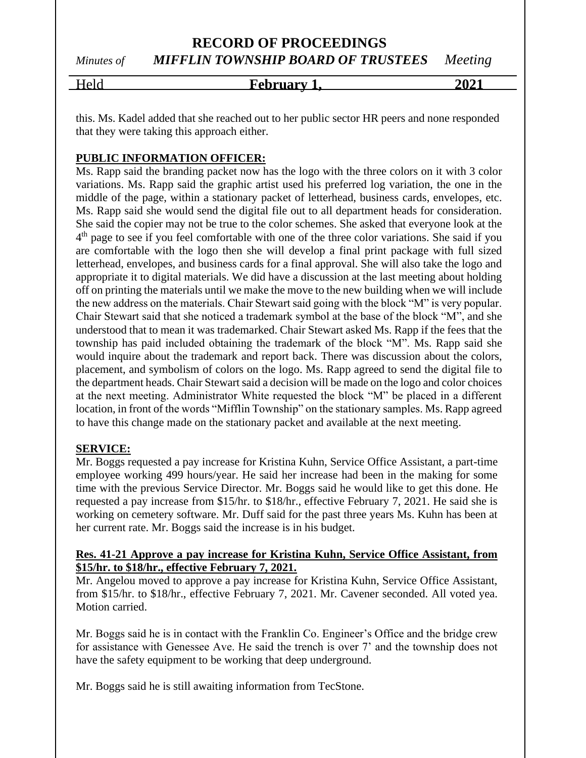Held **February 1, 2021**

this. Ms. Kadel added that she reached out to her public sector HR peers and none responded that they were taking this approach either.

## **PUBLIC INFORMATION OFFICER:**

Ms. Rapp said the branding packet now has the logo with the three colors on it with 3 color variations. Ms. Rapp said the graphic artist used his preferred log variation, the one in the middle of the page, within a stationary packet of letterhead, business cards, envelopes, etc. Ms. Rapp said she would send the digital file out to all department heads for consideration. She said the copier may not be true to the color schemes. She asked that everyone look at the 4<sup>th</sup> page to see if you feel comfortable with one of the three color variations. She said if you are comfortable with the logo then she will develop a final print package with full sized letterhead, envelopes, and business cards for a final approval. She will also take the logo and appropriate it to digital materials. We did have a discussion at the last meeting about holding off on printing the materials until we make the move to the new building when we will include the new address on the materials. Chair Stewart said going with the block "M" is very popular. Chair Stewart said that she noticed a trademark symbol at the base of the block "M", and she understood that to mean it was trademarked. Chair Stewart asked Ms. Rapp if the fees that the township has paid included obtaining the trademark of the block "M". Ms. Rapp said she would inquire about the trademark and report back. There was discussion about the colors, placement, and symbolism of colors on the logo. Ms. Rapp agreed to send the digital file to the department heads. Chair Stewart said a decision will be made on the logo and color choices at the next meeting. Administrator White requested the block "M" be placed in a different location, in front of the words "Mifflin Township" on the stationary samples. Ms. Rapp agreed to have this change made on the stationary packet and available at the next meeting.

## **SERVICE:**

Mr. Boggs requested a pay increase for Kristina Kuhn, Service Office Assistant, a part-time employee working 499 hours/year. He said her increase had been in the making for some time with the previous Service Director. Mr. Boggs said he would like to get this done. He requested a pay increase from \$15/hr. to \$18/hr., effective February 7, 2021. He said she is working on cemetery software. Mr. Duff said for the past three years Ms. Kuhn has been at her current rate. Mr. Boggs said the increase is in his budget.

#### **Res. 41-21 Approve a pay increase for Kristina Kuhn, Service Office Assistant, from \$15/hr. to \$18/hr., effective February 7, 2021.**

Mr. Angelou moved to approve a pay increase for Kristina Kuhn, Service Office Assistant, from \$15/hr. to \$18/hr., effective February 7, 2021. Mr. Cavener seconded. All voted yea. Motion carried.

Mr. Boggs said he is in contact with the Franklin Co. Engineer's Office and the bridge crew for assistance with Genessee Ave. He said the trench is over 7' and the township does not have the safety equipment to be working that deep underground.

Mr. Boggs said he is still awaiting information from TecStone.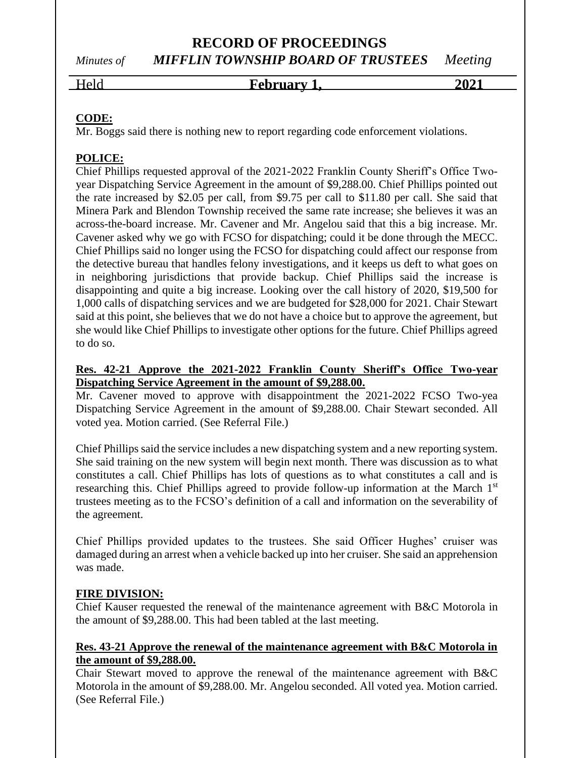**RECORD OF PROCEEDINGS**

# *Minutes of MIFFLIN TOWNSHIP BOARD OF TRUSTEES Meeting*

Held **February 1, 2021**

## **CODE:**

Mr. Boggs said there is nothing new to report regarding code enforcement violations.

## **POLICE:**

Chief Phillips requested approval of the 2021-2022 Franklin County Sheriff's Office Twoyear Dispatching Service Agreement in the amount of \$9,288.00. Chief Phillips pointed out the rate increased by \$2.05 per call, from \$9.75 per call to \$11.80 per call. She said that Minera Park and Blendon Township received the same rate increase; she believes it was an across-the-board increase. Mr. Cavener and Mr. Angelou said that this a big increase. Mr. Cavener asked why we go with FCSO for dispatching; could it be done through the MECC. Chief Phillips said no longer using the FCSO for dispatching could affect our response from the detective bureau that handles felony investigations, and it keeps us deft to what goes on in neighboring jurisdictions that provide backup. Chief Phillips said the increase is disappointing and quite a big increase. Looking over the call history of 2020, \$19,500 for 1,000 calls of dispatching services and we are budgeted for \$28,000 for 2021. Chair Stewart said at this point, she believes that we do not have a choice but to approve the agreement, but she would like Chief Phillips to investigate other options for the future. Chief Phillips agreed to do so.

## **Res. 42-21 Approve the 2021-2022 Franklin County Sheriff's Office Two-year Dispatching Service Agreement in the amount of \$9,288.00.**

Mr. Cavener moved to approve with disappointment the 2021-2022 FCSO Two-yea Dispatching Service Agreement in the amount of \$9,288.00. Chair Stewart seconded. All voted yea. Motion carried. (See Referral File.)

Chief Phillips said the service includes a new dispatching system and a new reporting system. She said training on the new system will begin next month. There was discussion as to what constitutes a call. Chief Phillips has lots of questions as to what constitutes a call and is researching this. Chief Phillips agreed to provide follow-up information at the March 1<sup>st</sup> trustees meeting as to the FCSO's definition of a call and information on the severability of the agreement.

Chief Phillips provided updates to the trustees. She said Officer Hughes' cruiser was damaged during an arrest when a vehicle backed up into her cruiser. She said an apprehension was made.

## **FIRE DIVISION:**

Chief Kauser requested the renewal of the maintenance agreement with B&C Motorola in the amount of \$9,288.00. This had been tabled at the last meeting.

## **Res. 43-21 Approve the renewal of the maintenance agreement with B&C Motorola in the amount of \$9,288.00.**

Chair Stewart moved to approve the renewal of the maintenance agreement with B&C Motorola in the amount of \$9,288.00. Mr. Angelou seconded. All voted yea. Motion carried. (See Referral File.)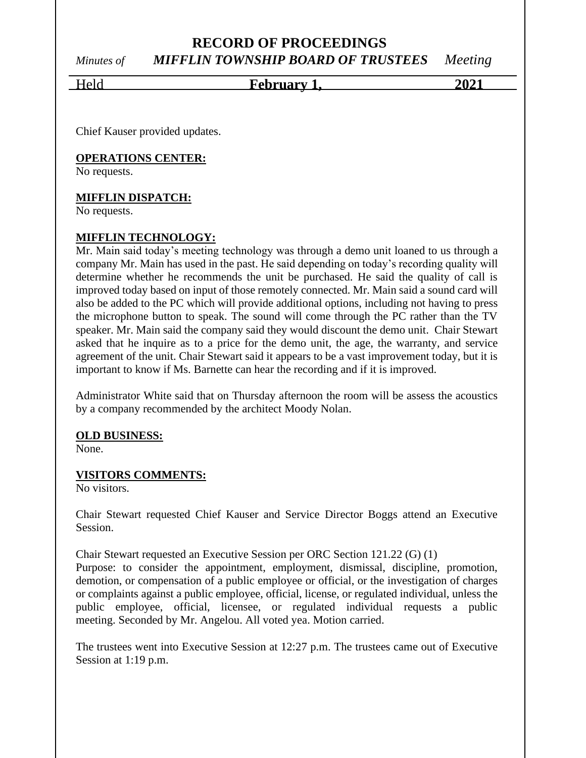Held **February 1, 2021**

Chief Kauser provided updates.

#### **OPERATIONS CENTER:**

No requests.

#### **MIFFLIN DISPATCH:**

No requests.

#### **MIFFLIN TECHNOLOGY:**

Mr. Main said today's meeting technology was through a demo unit loaned to us through a company Mr. Main has used in the past. He said depending on today's recording quality will determine whether he recommends the unit be purchased. He said the quality of call is improved today based on input of those remotely connected. Mr. Main said a sound card will also be added to the PC which will provide additional options, including not having to press the microphone button to speak. The sound will come through the PC rather than the TV speaker. Mr. Main said the company said they would discount the demo unit. Chair Stewart asked that he inquire as to a price for the demo unit, the age, the warranty, and service agreement of the unit. Chair Stewart said it appears to be a vast improvement today, but it is important to know if Ms. Barnette can hear the recording and if it is improved.

Administrator White said that on Thursday afternoon the room will be assess the acoustics by a company recommended by the architect Moody Nolan.

#### **OLD BUSINESS:**

None.

#### **VISITORS COMMENTS:**

No visitors.

Chair Stewart requested Chief Kauser and Service Director Boggs attend an Executive Session.

Chair Stewart requested an Executive Session per ORC Section 121.22 (G) (1)

Purpose: to consider the appointment, employment, dismissal, discipline, promotion, demotion, or compensation of a public employee or official, or the investigation of charges or complaints against a public employee, official, license, or regulated individual, unless the public employee, official, licensee, or regulated individual requests a public meeting. Seconded by Mr. Angelou. All voted yea. Motion carried.

The trustees went into Executive Session at 12:27 p.m. The trustees came out of Executive Session at 1:19 p.m.